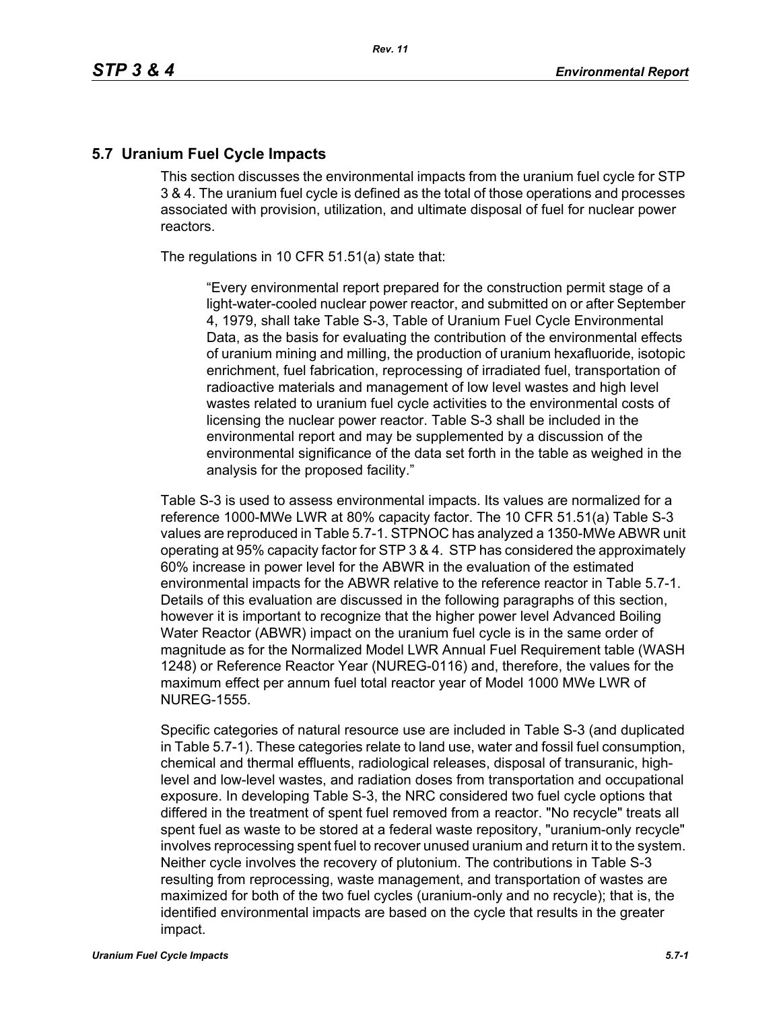#### **5.7 Uranium Fuel Cycle Impacts**

This section discusses the environmental impacts from the uranium fuel cycle for STP 3 & 4. The uranium fuel cycle is defined as the total of those operations and processes associated with provision, utilization, and ultimate disposal of fuel for nuclear power reactors.

The regulations in 10 CFR 51.51(a) state that:

"Every environmental report prepared for the construction permit stage of a light-water-cooled nuclear power reactor, and submitted on or after September 4, 1979, shall take Table S-3, Table of Uranium Fuel Cycle Environmental Data, as the basis for evaluating the contribution of the environmental effects of uranium mining and milling, the production of uranium hexafluoride, isotopic enrichment, fuel fabrication, reprocessing of irradiated fuel, transportation of radioactive materials and management of low level wastes and high level wastes related to uranium fuel cycle activities to the environmental costs of licensing the nuclear power reactor. Table S-3 shall be included in the environmental report and may be supplemented by a discussion of the environmental significance of the data set forth in the table as weighed in the analysis for the proposed facility."

Table S-3 is used to assess environmental impacts. Its values are normalized for a reference 1000-MWe LWR at 80% capacity factor. The 10 CFR 51.51(a) Table S-3 values are reproduced in Table 5.7-1. STPNOC has analyzed a 1350-MWe ABWR unit operating at 95% capacity factor for STP 3 & 4. STP has considered the approximately 60% increase in power level for the ABWR in the evaluation of the estimated environmental impacts for the ABWR relative to the reference reactor in Table 5.7-1. Details of this evaluation are discussed in the following paragraphs of this section, however it is important to recognize that the higher power level Advanced Boiling Water Reactor (ABWR) impact on the uranium fuel cycle is in the same order of magnitude as for the Normalized Model LWR Annual Fuel Requirement table (WASH 1248) or Reference Reactor Year (NUREG-0116) and, therefore, the values for the maximum effect per annum fuel total reactor year of Model 1000 MWe LWR of NUREG-1555.

Specific categories of natural resource use are included in Table S-3 (and duplicated in Table 5.7-1). These categories relate to land use, water and fossil fuel consumption, chemical and thermal effluents, radiological releases, disposal of transuranic, highlevel and low-level wastes, and radiation doses from transportation and occupational exposure. In developing Table S-3, the NRC considered two fuel cycle options that differed in the treatment of spent fuel removed from a reactor. "No recycle" treats all spent fuel as waste to be stored at a federal waste repository, "uranium-only recycle" involves reprocessing spent fuel to recover unused uranium and return it to the system. Neither cycle involves the recovery of plutonium. The contributions in Table S-3 resulting from reprocessing, waste management, and transportation of wastes are maximized for both of the two fuel cycles (uranium-only and no recycle); that is, the identified environmental impacts are based on the cycle that results in the greater impact.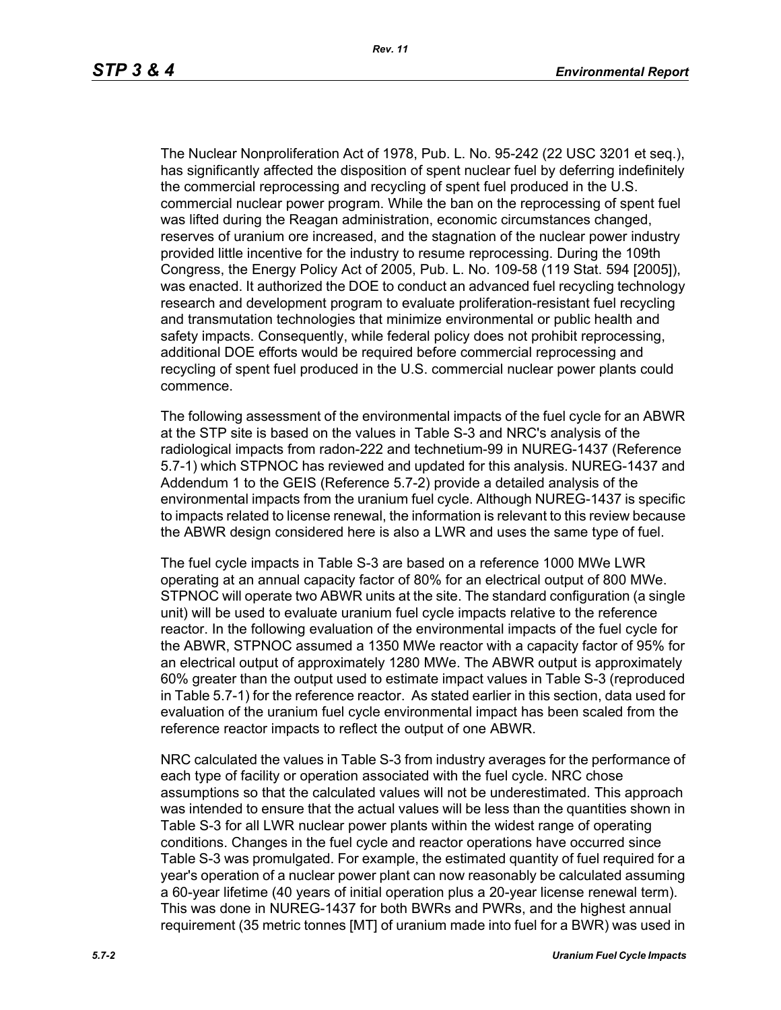The Nuclear Nonproliferation Act of 1978, Pub. L. No. 95-242 (22 USC 3201 et seq.), has significantly affected the disposition of spent nuclear fuel by deferring indefinitely the commercial reprocessing and recycling of spent fuel produced in the U.S. commercial nuclear power program. While the ban on the reprocessing of spent fuel was lifted during the Reagan administration, economic circumstances changed, reserves of uranium ore increased, and the stagnation of the nuclear power industry provided little incentive for the industry to resume reprocessing. During the 109th Congress, the Energy Policy Act of 2005, Pub. L. No. 109-58 (119 Stat. 594 [2005]), was enacted. It authorized the DOE to conduct an advanced fuel recycling technology research and development program to evaluate proliferation-resistant fuel recycling and transmutation technologies that minimize environmental or public health and safety impacts. Consequently, while federal policy does not prohibit reprocessing, additional DOE efforts would be required before commercial reprocessing and recycling of spent fuel produced in the U.S. commercial nuclear power plants could commence.

The following assessment of the environmental impacts of the fuel cycle for an ABWR at the STP site is based on the values in Table S-3 and NRC's analysis of the radiological impacts from radon-222 and technetium-99 in NUREG-1437 (Reference 5.7-1) which STPNOC has reviewed and updated for this analysis. NUREG-1437 and Addendum 1 to the GEIS (Reference 5.7-2) provide a detailed analysis of the environmental impacts from the uranium fuel cycle. Although NUREG-1437 is specific to impacts related to license renewal, the information is relevant to this review because the ABWR design considered here is also a LWR and uses the same type of fuel.

The fuel cycle impacts in Table S-3 are based on a reference 1000 MWe LWR operating at an annual capacity factor of 80% for an electrical output of 800 MWe. STPNOC will operate two ABWR units at the site. The standard configuration (a single unit) will be used to evaluate uranium fuel cycle impacts relative to the reference reactor. In the following evaluation of the environmental impacts of the fuel cycle for the ABWR, STPNOC assumed a 1350 MWe reactor with a capacity factor of 95% for an electrical output of approximately 1280 MWe. The ABWR output is approximately 60% greater than the output used to estimate impact values in Table S-3 (reproduced in Table 5.7-1) for the reference reactor. As stated earlier in this section, data used for evaluation of the uranium fuel cycle environmental impact has been scaled from the reference reactor impacts to reflect the output of one ABWR.

NRC calculated the values in Table S-3 from industry averages for the performance of each type of facility or operation associated with the fuel cycle. NRC chose assumptions so that the calculated values will not be underestimated. This approach was intended to ensure that the actual values will be less than the quantities shown in Table S-3 for all LWR nuclear power plants within the widest range of operating conditions. Changes in the fuel cycle and reactor operations have occurred since Table S-3 was promulgated. For example, the estimated quantity of fuel required for a year's operation of a nuclear power plant can now reasonably be calculated assuming a 60-year lifetime (40 years of initial operation plus a 20-year license renewal term). This was done in NUREG-1437 for both BWRs and PWRs, and the highest annual requirement (35 metric tonnes [MT] of uranium made into fuel for a BWR) was used in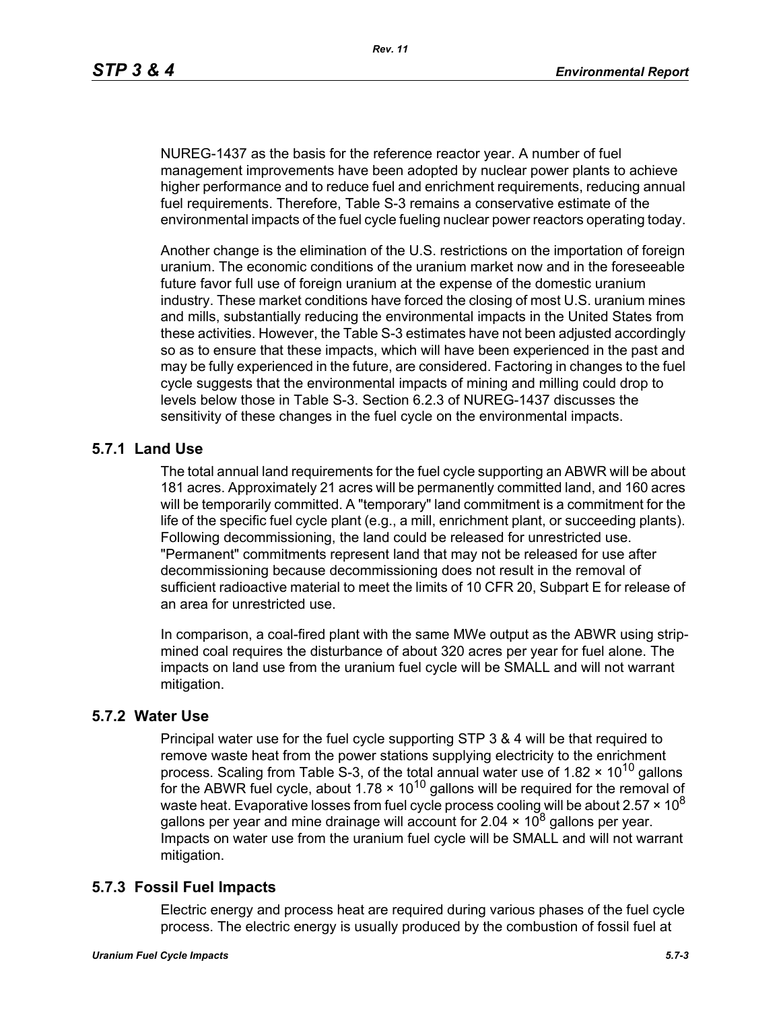NUREG-1437 as the basis for the reference reactor year. A number of fuel management improvements have been adopted by nuclear power plants to achieve higher performance and to reduce fuel and enrichment requirements, reducing annual fuel requirements. Therefore, Table S-3 remains a conservative estimate of the environmental impacts of the fuel cycle fueling nuclear power reactors operating today.

Another change is the elimination of the U.S. restrictions on the importation of foreign uranium. The economic conditions of the uranium market now and in the foreseeable future favor full use of foreign uranium at the expense of the domestic uranium industry. These market conditions have forced the closing of most U.S. uranium mines and mills, substantially reducing the environmental impacts in the United States from these activities. However, the Table S-3 estimates have not been adjusted accordingly so as to ensure that these impacts, which will have been experienced in the past and may be fully experienced in the future, are considered. Factoring in changes to the fuel cycle suggests that the environmental impacts of mining and milling could drop to levels below those in Table S-3. Section 6.2.3 of NUREG-1437 discusses the sensitivity of these changes in the fuel cycle on the environmental impacts.

# **5.7.1 Land Use**

The total annual land requirements for the fuel cycle supporting an ABWR will be about 181 acres. Approximately 21 acres will be permanently committed land, and 160 acres will be temporarily committed. A "temporary" land commitment is a commitment for the life of the specific fuel cycle plant (e.g., a mill, enrichment plant, or succeeding plants). Following decommissioning, the land could be released for unrestricted use. "Permanent" commitments represent land that may not be released for use after decommissioning because decommissioning does not result in the removal of sufficient radioactive material to meet the limits of 10 CFR 20, Subpart E for release of an area for unrestricted use.

In comparison, a coal-fired plant with the same MWe output as the ABWR using stripmined coal requires the disturbance of about 320 acres per year for fuel alone. The impacts on land use from the uranium fuel cycle will be SMALL and will not warrant mitigation.

## **5.7.2 Water Use**

Principal water use for the fuel cycle supporting STP 3 & 4 will be that required to remove waste heat from the power stations supplying electricity to the enrichment process. Scaling from Table S-3, of the total annual water use of 1.82  $\times$  10<sup>10</sup> gallons for the ABWR fuel cycle, about  $1.78 \times 10^{10}$  gallons will be required for the removal of waste heat. Evaporative losses from fuel cycle process cooling will be about 2.57  $\times$  10<sup>8</sup> gallons per year and mine drainage will account for 2.04  $\times$  10<sup>8</sup> gallons per year. Impacts on water use from the uranium fuel cycle will be SMALL and will not warrant mitigation.

# **5.7.3 Fossil Fuel Impacts**

Electric energy and process heat are required during various phases of the fuel cycle process. The electric energy is usually produced by the combustion of fossil fuel at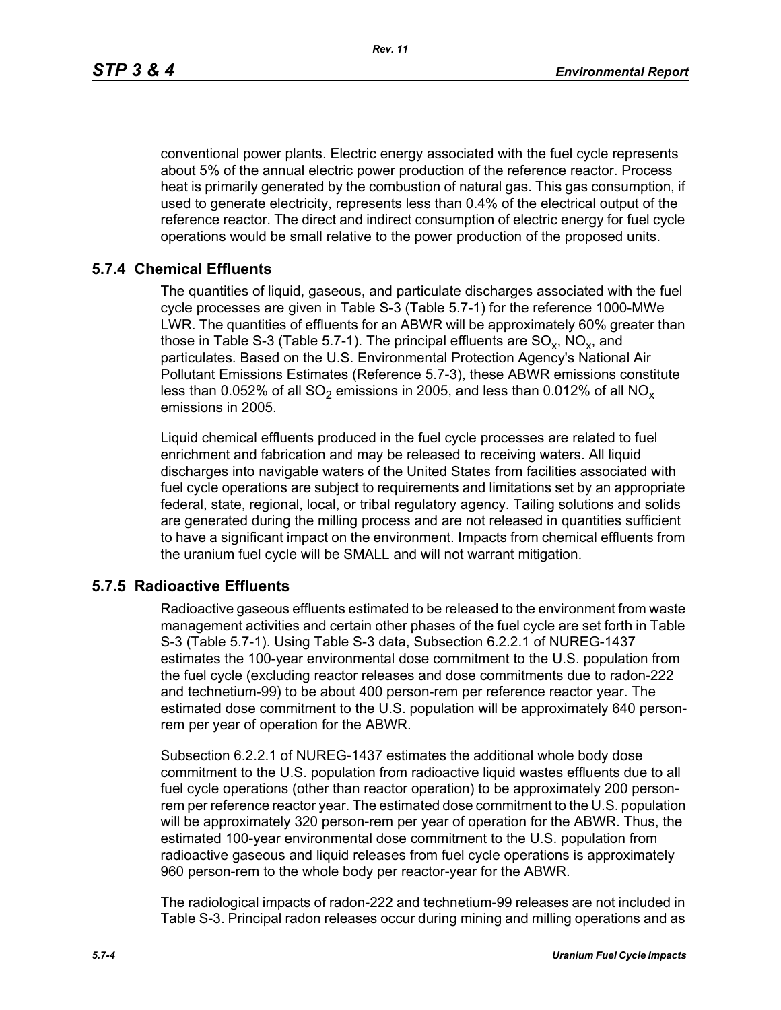*Rev. 11*

conventional power plants. Electric energy associated with the fuel cycle represents about 5% of the annual electric power production of the reference reactor. Process heat is primarily generated by the combustion of natural gas. This gas consumption, if used to generate electricity, represents less than 0.4% of the electrical output of the reference reactor. The direct and indirect consumption of electric energy for fuel cycle operations would be small relative to the power production of the proposed units.

# **5.7.4 Chemical Effluents**

The quantities of liquid, gaseous, and particulate discharges associated with the fuel cycle processes are given in Table S-3 (Table 5.7-1) for the reference 1000-MWe LWR. The quantities of effluents for an ABWR will be approximately 60% greater than those in Table S-3 (Table 5.7-1). The principal effluents are  $SO_x$ ,  $NO_x$ , and particulates. Based on the U.S. Environmental Protection Agency's National Air Pollutant Emissions Estimates (Reference 5.7-3), these ABWR emissions constitute less than 0.052% of all SO<sub>2</sub> emissions in 2005, and less than 0.012% of all NO<sub>x</sub> emissions in 2005.

Liquid chemical effluents produced in the fuel cycle processes are related to fuel enrichment and fabrication and may be released to receiving waters. All liquid discharges into navigable waters of the United States from facilities associated with fuel cycle operations are subject to requirements and limitations set by an appropriate federal, state, regional, local, or tribal regulatory agency. Tailing solutions and solids are generated during the milling process and are not released in quantities sufficient to have a significant impact on the environment. Impacts from chemical effluents from the uranium fuel cycle will be SMALL and will not warrant mitigation.

## **5.7.5 Radioactive Effluents**

Radioactive gaseous effluents estimated to be released to the environment from waste management activities and certain other phases of the fuel cycle are set forth in Table S-3 (Table 5.7-1). Using Table S-3 data, Subsection 6.2.2.1 of NUREG-1437 estimates the 100-year environmental dose commitment to the U.S. population from the fuel cycle (excluding reactor releases and dose commitments due to radon-222 and technetium-99) to be about 400 person-rem per reference reactor year. The estimated dose commitment to the U.S. population will be approximately 640 personrem per year of operation for the ABWR.

Subsection 6.2.2.1 of NUREG-1437 estimates the additional whole body dose commitment to the U.S. population from radioactive liquid wastes effluents due to all fuel cycle operations (other than reactor operation) to be approximately 200 personrem per reference reactor year. The estimated dose commitment to the U.S. population will be approximately 320 person-rem per year of operation for the ABWR. Thus, the estimated 100-year environmental dose commitment to the U.S. population from radioactive gaseous and liquid releases from fuel cycle operations is approximately 960 person-rem to the whole body per reactor-year for the ABWR.

The radiological impacts of radon-222 and technetium-99 releases are not included in Table S-3. Principal radon releases occur during mining and milling operations and as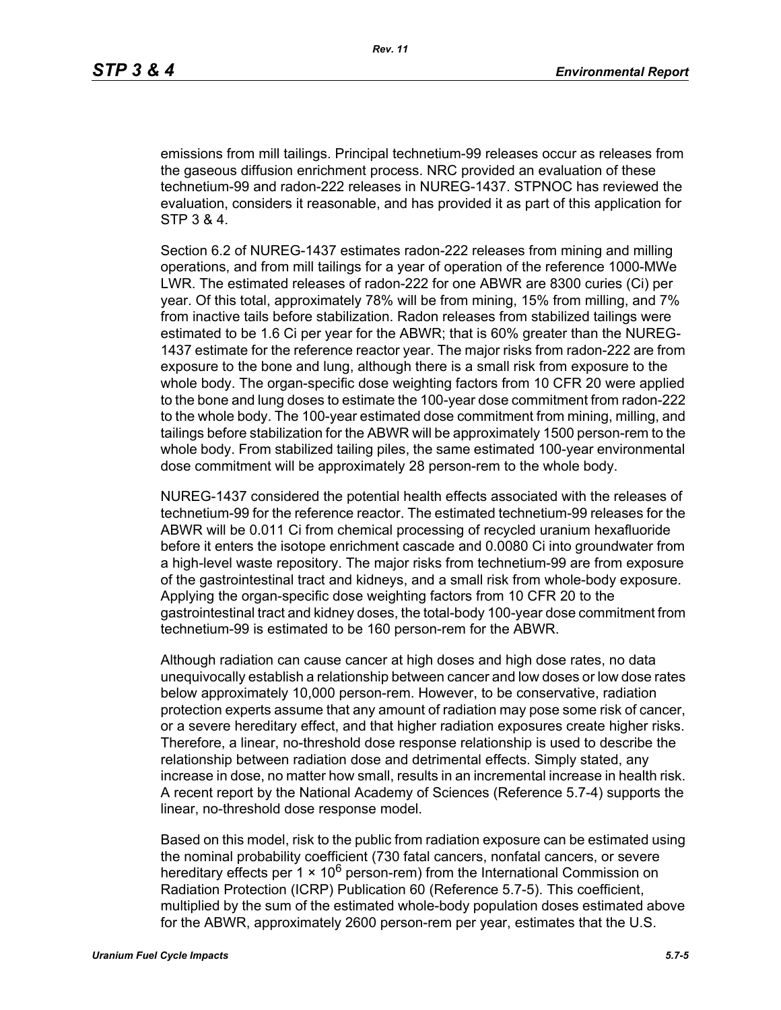emissions from mill tailings. Principal technetium-99 releases occur as releases from the gaseous diffusion enrichment process. NRC provided an evaluation of these technetium-99 and radon-222 releases in NUREG-1437. STPNOC has reviewed the evaluation, considers it reasonable, and has provided it as part of this application for STP 3 & 4.

Section 6.2 of NUREG-1437 estimates radon-222 releases from mining and milling operations, and from mill tailings for a year of operation of the reference 1000-MWe LWR. The estimated releases of radon-222 for one ABWR are 8300 curies (Ci) per year. Of this total, approximately 78% will be from mining, 15% from milling, and 7% from inactive tails before stabilization. Radon releases from stabilized tailings were estimated to be 1.6 Ci per year for the ABWR; that is 60% greater than the NUREG-1437 estimate for the reference reactor year. The major risks from radon-222 are from exposure to the bone and lung, although there is a small risk from exposure to the whole body. The organ-specific dose weighting factors from 10 CFR 20 were applied to the bone and lung doses to estimate the 100-year dose commitment from radon-222 to the whole body. The 100-year estimated dose commitment from mining, milling, and tailings before stabilization for the ABWR will be approximately 1500 person-rem to the whole body. From stabilized tailing piles, the same estimated 100-year environmental dose commitment will be approximately 28 person-rem to the whole body.

NUREG-1437 considered the potential health effects associated with the releases of technetium-99 for the reference reactor. The estimated technetium-99 releases for the ABWR will be 0.011 Ci from chemical processing of recycled uranium hexafluoride before it enters the isotope enrichment cascade and 0.0080 Ci into groundwater from a high-level waste repository. The major risks from technetium-99 are from exposure of the gastrointestinal tract and kidneys, and a small risk from whole-body exposure. Applying the organ-specific dose weighting factors from 10 CFR 20 to the gastrointestinal tract and kidney doses, the total-body 100-year dose commitment from technetium-99 is estimated to be 160 person-rem for the ABWR.

Although radiation can cause cancer at high doses and high dose rates, no data unequivocally establish a relationship between cancer and low doses or low dose rates below approximately 10,000 person-rem. However, to be conservative, radiation protection experts assume that any amount of radiation may pose some risk of cancer, or a severe hereditary effect, and that higher radiation exposures create higher risks. Therefore, a linear, no-threshold dose response relationship is used to describe the relationship between radiation dose and detrimental effects. Simply stated, any increase in dose, no matter how small, results in an incremental increase in health risk. A recent report by the National Academy of Sciences (Reference 5.7-4) supports the linear, no-threshold dose response model.

Based on this model, risk to the public from radiation exposure can be estimated using the nominal probability coefficient (730 fatal cancers, nonfatal cancers, or severe hereditary effects per 1  $\times$  10<sup>6</sup> person-rem) from the International Commission on Radiation Protection (ICRP) Publication 60 (Reference 5.7-5). This coefficient, multiplied by the sum of the estimated whole-body population doses estimated above for the ABWR, approximately 2600 person-rem per year, estimates that the U.S.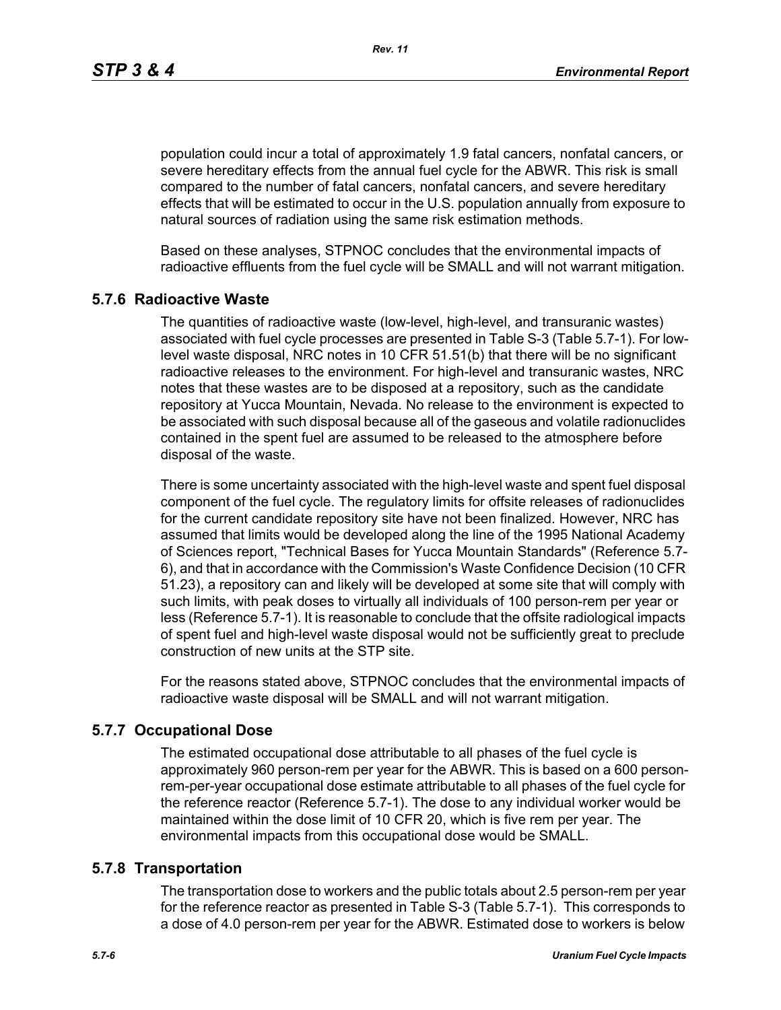*Rev. 11*

population could incur a total of approximately 1.9 fatal cancers, nonfatal cancers, or severe hereditary effects from the annual fuel cycle for the ABWR. This risk is small compared to the number of fatal cancers, nonfatal cancers, and severe hereditary effects that will be estimated to occur in the U.S. population annually from exposure to natural sources of radiation using the same risk estimation methods.

Based on these analyses, STPNOC concludes that the environmental impacts of radioactive effluents from the fuel cycle will be SMALL and will not warrant mitigation.

## **5.7.6 Radioactive Waste**

The quantities of radioactive waste (low-level, high-level, and transuranic wastes) associated with fuel cycle processes are presented in Table S-3 (Table 5.7-1). For lowlevel waste disposal, NRC notes in 10 CFR 51.51(b) that there will be no significant radioactive releases to the environment. For high-level and transuranic wastes, NRC notes that these wastes are to be disposed at a repository, such as the candidate repository at Yucca Mountain, Nevada. No release to the environment is expected to be associated with such disposal because all of the gaseous and volatile radionuclides contained in the spent fuel are assumed to be released to the atmosphere before disposal of the waste.

There is some uncertainty associated with the high-level waste and spent fuel disposal component of the fuel cycle. The regulatory limits for offsite releases of radionuclides for the current candidate repository site have not been finalized. However, NRC has assumed that limits would be developed along the line of the 1995 National Academy of Sciences report, "Technical Bases for Yucca Mountain Standards" (Reference 5.7- 6), and that in accordance with the Commission's Waste Confidence Decision (10 CFR 51.23), a repository can and likely will be developed at some site that will comply with such limits, with peak doses to virtually all individuals of 100 person-rem per year or less (Reference 5.7-1). It is reasonable to conclude that the offsite radiological impacts of spent fuel and high-level waste disposal would not be sufficiently great to preclude construction of new units at the STP site.

For the reasons stated above, STPNOC concludes that the environmental impacts of radioactive waste disposal will be SMALL and will not warrant mitigation.

## **5.7.7 Occupational Dose**

The estimated occupational dose attributable to all phases of the fuel cycle is approximately 960 person-rem per year for the ABWR. This is based on a 600 personrem-per-year occupational dose estimate attributable to all phases of the fuel cycle for the reference reactor (Reference 5.7-1). The dose to any individual worker would be maintained within the dose limit of 10 CFR 20, which is five rem per year. The environmental impacts from this occupational dose would be SMALL.

#### **5.7.8 Transportation**

The transportation dose to workers and the public totals about 2.5 person-rem per year for the reference reactor as presented in Table S-3 (Table 5.7-1). This corresponds to a dose of 4.0 person-rem per year for the ABWR. Estimated dose to workers is below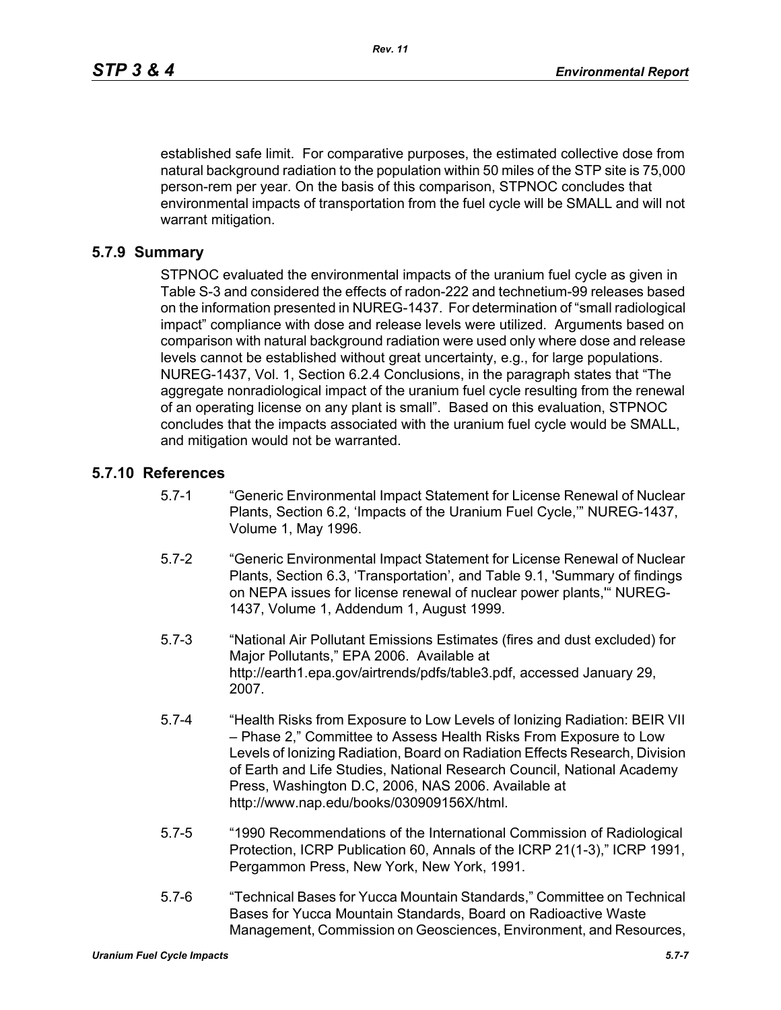established safe limit. For comparative purposes, the estimated collective dose from natural background radiation to the population within 50 miles of the STP site is 75,000 person-rem per year. On the basis of this comparison, STPNOC concludes that environmental impacts of transportation from the fuel cycle will be SMALL and will not warrant mitigation.

#### **5.7.9 Summary**

STPNOC evaluated the environmental impacts of the uranium fuel cycle as given in Table S-3 and considered the effects of radon-222 and technetium-99 releases based on the information presented in NUREG-1437. For determination of "small radiological impact" compliance with dose and release levels were utilized. Arguments based on comparison with natural background radiation were used only where dose and release levels cannot be established without great uncertainty, e.g., for large populations. NUREG-1437, Vol. 1, Section 6.2.4 Conclusions, in the paragraph states that "The aggregate nonradiological impact of the uranium fuel cycle resulting from the renewal of an operating license on any plant is small". Based on this evaluation, STPNOC concludes that the impacts associated with the uranium fuel cycle would be SMALL, and mitigation would not be warranted.

#### **5.7.10 References**

- 5.7-1 "Generic Environmental Impact Statement for License Renewal of Nuclear Plants, Section 6.2, 'Impacts of the Uranium Fuel Cycle,'" NUREG-1437, Volume 1, May 1996.
- 5.7-2 "Generic Environmental Impact Statement for License Renewal of Nuclear Plants, Section 6.3, 'Transportation', and Table 9.1, 'Summary of findings on NEPA issues for license renewal of nuclear power plants,'" NUREG-1437, Volume 1, Addendum 1, August 1999.
- 5.7-3 "National Air Pollutant Emissions Estimates (fires and dust excluded) for Major Pollutants," EPA 2006. Available at http://earth1.epa.gov/airtrends/pdfs/table3.pdf, accessed January 29, 2007.
- 5.7-4 "Health Risks from Exposure to Low Levels of Ionizing Radiation: BEIR VII – Phase 2," Committee to Assess Health Risks From Exposure to Low Levels of Ionizing Radiation, Board on Radiation Effects Research, Division of Earth and Life Studies, National Research Council, National Academy Press, Washington D.C, 2006, NAS 2006. Available at http://www.nap.edu/books/030909156X/html.
- 5.7-5 "1990 Recommendations of the International Commission of Radiological Protection, ICRP Publication 60, Annals of the ICRP 21(1-3)," ICRP 1991, Pergammon Press, New York, New York, 1991.
- 5.7-6 "Technical Bases for Yucca Mountain Standards," Committee on Technical Bases for Yucca Mountain Standards, Board on Radioactive Waste Management, Commission on Geosciences, Environment, and Resources,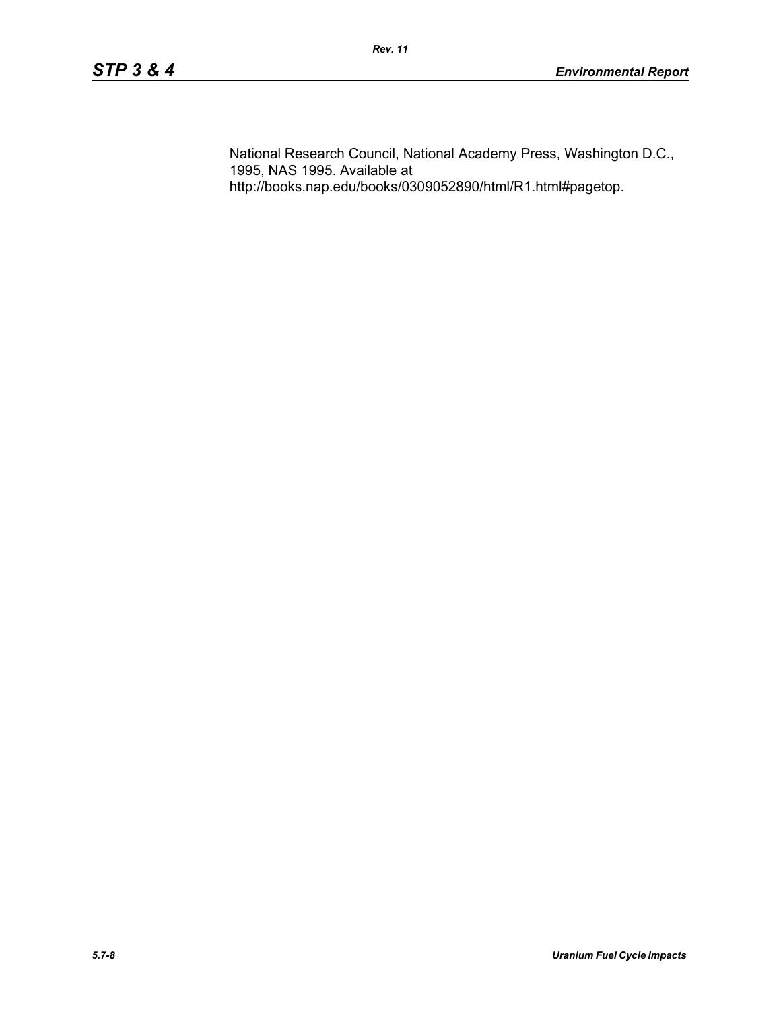National Research Council, National Academy Press, Washington D.C., 1995, NAS 1995. Available at http://books.nap.edu/books/0309052890/html/R1.html#pagetop.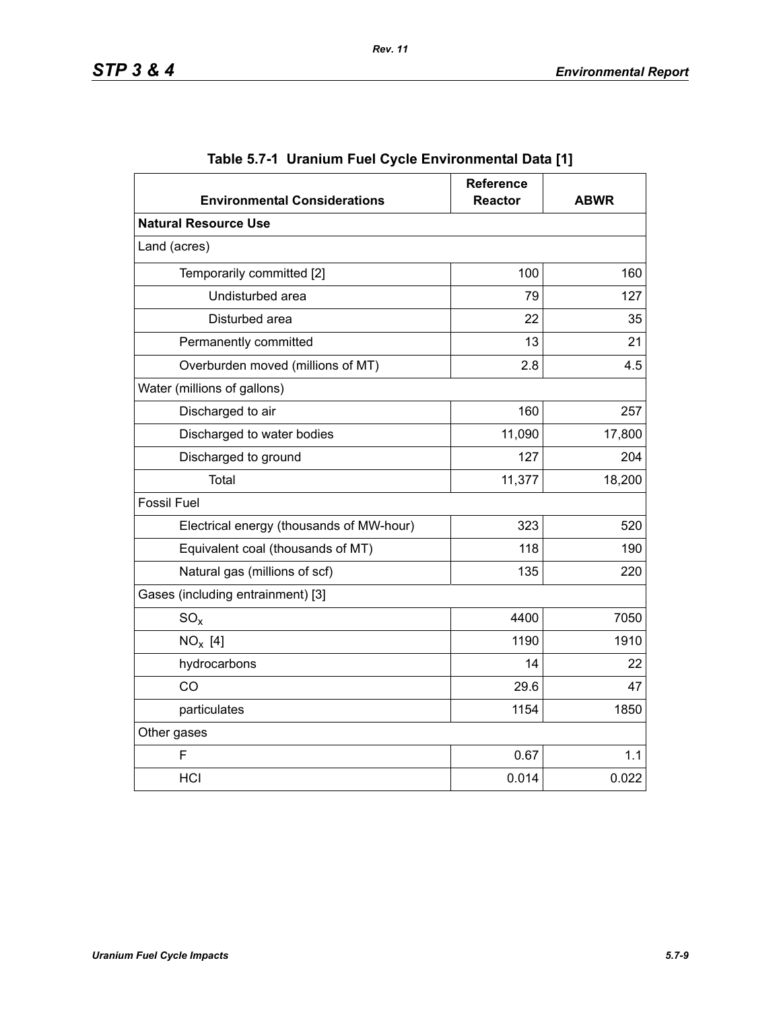| <b>Environmental Considerations</b>      | <b>Reference</b><br><b>Reactor</b> | <b>ABWR</b> |
|------------------------------------------|------------------------------------|-------------|
| <b>Natural Resource Use</b>              |                                    |             |
| Land (acres)                             |                                    |             |
| Temporarily committed [2]                | 100                                | 160         |
| Undisturbed area                         | 79                                 | 127         |
| Disturbed area                           | 22                                 | 35          |
| Permanently committed                    | 13                                 | 21          |
| Overburden moved (millions of MT)        | 2.8                                | 4.5         |
| Water (millions of gallons)              |                                    |             |
| Discharged to air                        | 160                                | 257         |
| Discharged to water bodies               | 11,090                             | 17,800      |
| Discharged to ground                     | 127                                | 204         |
| Total                                    | 11,377                             | 18,200      |
| <b>Fossil Fuel</b>                       |                                    |             |
| Electrical energy (thousands of MW-hour) | 323                                | 520         |
| Equivalent coal (thousands of MT)        | 118                                | 190         |
| Natural gas (millions of scf)            | 135                                | 220         |
| Gases (including entrainment) [3]        |                                    |             |
| $SO_{x}$                                 | 4400                               | 7050        |
| $NO_x$ [4]                               | 1190                               | 1910        |
| hydrocarbons                             | 14                                 | 22          |
| CO                                       | 29.6                               | 47          |
| particulates                             | 1154                               | 1850        |
| Other gases                              |                                    |             |
| F                                        | 0.67                               | 1.1         |
| <b>HCI</b>                               | 0.014                              | 0.022       |

|  | Table 5.7-1  Uranium Fuel Cycle Environmental Data [1] |  |
|--|--------------------------------------------------------|--|
|  |                                                        |  |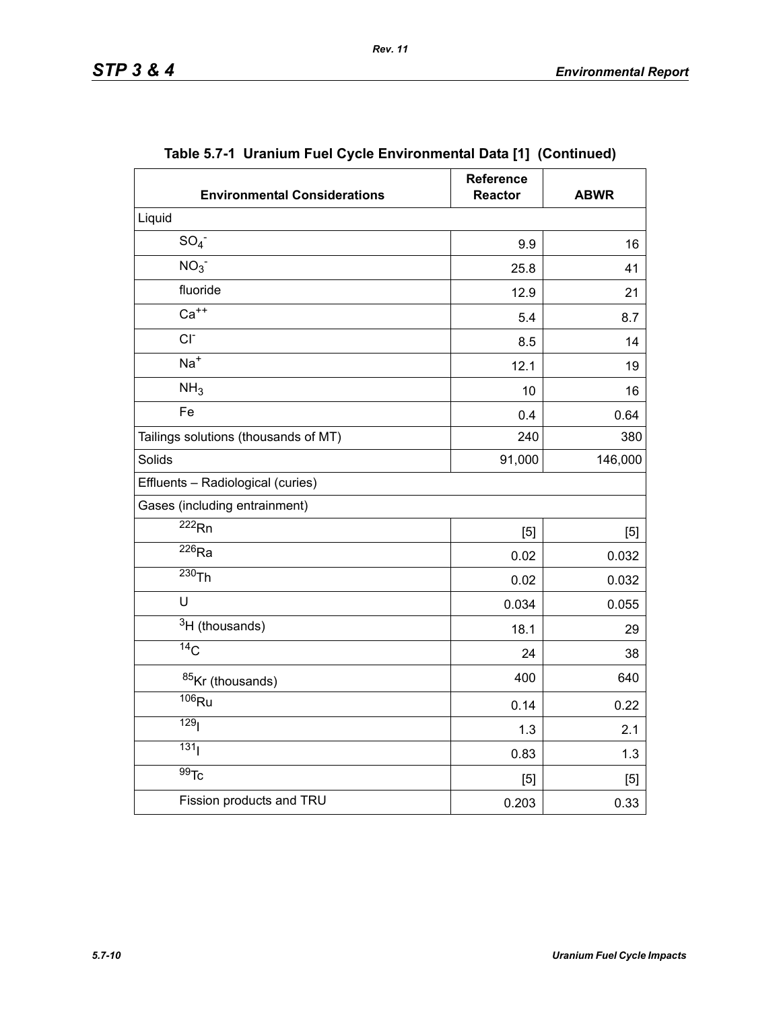| <b>Environmental Considerations</b>  | <b>Reference</b><br><b>Reactor</b> | <b>ABWR</b> |
|--------------------------------------|------------------------------------|-------------|
| Liquid                               |                                    |             |
| SO <sub>4</sub>                      | 9.9                                | 16          |
| NO <sub>3</sub>                      | 25.8                               | 41          |
| fluoride                             | 12.9                               | 21          |
| $Ca++$                               | 5.4                                | 8.7         |
| $CI-$                                | 8.5                                | 14          |
| $Na+$                                | 12.1                               | 19          |
| NH <sub>3</sub>                      | 10                                 | 16          |
| Fe                                   | 0.4                                | 0.64        |
| Tailings solutions (thousands of MT) | 240                                | 380         |
| Solids                               | 91,000                             | 146,000     |
| Effluents - Radiological (curies)    |                                    |             |
| Gases (including entrainment)        |                                    |             |
| $\overline{222}$ <sub>Rn</sub>       | [5]                                | [5]         |
| $\overline{^{226}}$ Ra               | 0.02                               | 0.032       |
| $230$ Th                             | 0.02                               | 0.032       |
| U                                    | 0.034                              | 0.055       |
| $3H$ (thousands)                     | 18.1                               | 29          |
| $\overline{^{14}C}$                  | 24                                 | 38          |
| 85Kr (thousands)                     | 400                                | 640         |
| $106$ Ru                             | 0.14                               | 0.22        |
| 129 <sub>l</sub>                     | 1.3                                | 2.1         |
| 131 <sub>1</sub>                     | 0.83                               | 1.3         |
| $\overline{99}$ Tc                   | [5]                                | $[5]$       |
| Fission products and TRU             | 0.203                              | 0.33        |